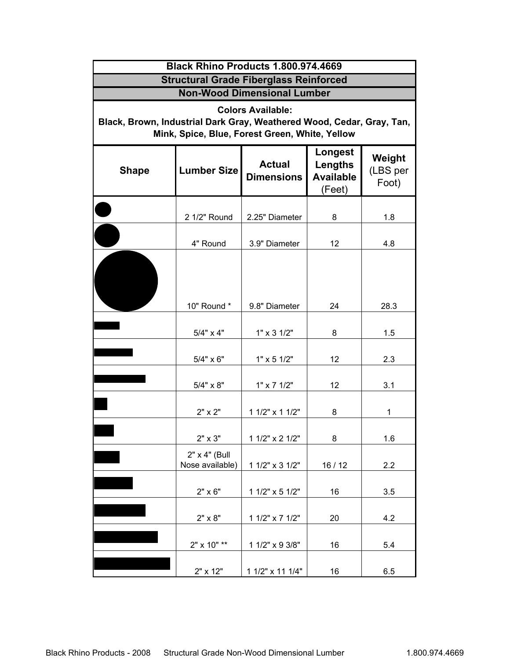| Black Rhino Products 1.800.974.4669                                                                                                                 |                                  |                                    |                                                  |                             |  |  |  |  |
|-----------------------------------------------------------------------------------------------------------------------------------------------------|----------------------------------|------------------------------------|--------------------------------------------------|-----------------------------|--|--|--|--|
| <b>Structural Grade Fiberglass Reinforced</b>                                                                                                       |                                  |                                    |                                                  |                             |  |  |  |  |
| <b>Non-Wood Dimensional Lumber</b>                                                                                                                  |                                  |                                    |                                                  |                             |  |  |  |  |
| <b>Colors Available:</b><br>Black, Brown, Industrial Dark Gray, Weathered Wood, Cedar, Gray, Tan,<br>Mink, Spice, Blue, Forest Green, White, Yellow |                                  |                                    |                                                  |                             |  |  |  |  |
| <b>Shape</b>                                                                                                                                        | <b>Lumber Size</b>               | <b>Actual</b><br><b>Dimensions</b> | Longest<br>Lengths<br><b>Available</b><br>(Feet) | Weight<br>(LBS per<br>Foot) |  |  |  |  |
|                                                                                                                                                     | 2 1/2" Round                     | 2.25" Diameter                     | 8                                                | 1.8                         |  |  |  |  |
|                                                                                                                                                     | 4" Round                         | 3.9" Diameter                      | 12                                               | 4.8                         |  |  |  |  |
|                                                                                                                                                     |                                  |                                    |                                                  |                             |  |  |  |  |
|                                                                                                                                                     | 10" Round *                      | 9.8" Diameter                      | 24                                               | 28.3                        |  |  |  |  |
|                                                                                                                                                     | $5/4" \times 4"$                 | $1" \times 3 \frac{1}{2"$          | 8                                                | 1.5                         |  |  |  |  |
|                                                                                                                                                     | $5/4" \times 6"$                 | $1" \times 5 1/2"$                 | 12                                               | 2.3                         |  |  |  |  |
|                                                                                                                                                     | $5/4" \times 8"$                 | $1" \times 7$ $1/2"$               | 12                                               | 3.1                         |  |  |  |  |
|                                                                                                                                                     | 2" x 2"                          | 1 1/2" x 1 1/2"                    | 8                                                | 1                           |  |  |  |  |
|                                                                                                                                                     | 2" x 3"                          | 1 1/2" x 2 1/2"                    | 8                                                | 1.6                         |  |  |  |  |
|                                                                                                                                                     | 2" x 4" (Bull<br>Nose available) | 1 1/2" x 3 1/2"                    | 16/12                                            | 2.2                         |  |  |  |  |
|                                                                                                                                                     | $2" \times 6"$                   | 1 1/2" x 5 1/2"                    | 16                                               | 3.5                         |  |  |  |  |
|                                                                                                                                                     | $2" \times 8"$                   | 1 1/2" x 7 1/2"                    | 20                                               | 4.2                         |  |  |  |  |
|                                                                                                                                                     | 2" x 10" **                      | 1 1/2" x 9 3/8"                    | 16                                               | 5.4                         |  |  |  |  |
|                                                                                                                                                     | 2" x 12"                         | 1 1/2" x 11 1/4"                   | 16                                               | 6.5                         |  |  |  |  |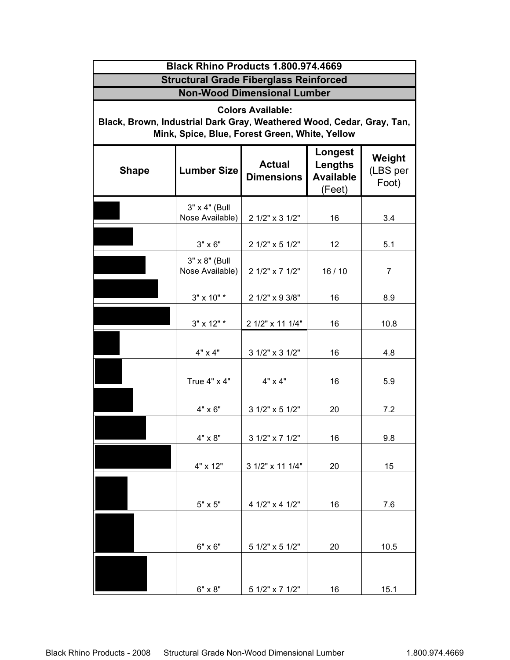| Black Rhino Products 1.800.974.4669<br><b>Structural Grade Fiberglass Reinforced</b><br><b>Non-Wood Dimensional Lumber</b><br><b>Colors Available:</b><br>Black, Brown, Industrial Dark Gray, Weathered Wood, Cedar, Gray, Tan,<br>Mink, Spice, Blue, Forest Green, White, Yellow |                                  |                  |       |      |  |  |
|-----------------------------------------------------------------------------------------------------------------------------------------------------------------------------------------------------------------------------------------------------------------------------------|----------------------------------|------------------|-------|------|--|--|
|                                                                                                                                                                                                                                                                                   |                                  |                  |       |      |  |  |
|                                                                                                                                                                                                                                                                                   | 3" x 4" (Bull<br>Nose Available) | 2 1/2" x 3 1/2"  | 16    | 3.4  |  |  |
|                                                                                                                                                                                                                                                                                   | $3" \times 6"$                   | 2 1/2" x 5 1/2"  | 12    | 5.1  |  |  |
|                                                                                                                                                                                                                                                                                   | 3" x 8" (Bull<br>Nose Available) | 2 1/2" x 7 1/2"  | 16/10 | 7    |  |  |
|                                                                                                                                                                                                                                                                                   | 3" x 10" *                       | 2 1/2" x 9 3/8"  | 16    | 8.9  |  |  |
|                                                                                                                                                                                                                                                                                   | 3" x 12" *                       | 2 1/2" x 11 1/4" | 16    | 10.8 |  |  |
|                                                                                                                                                                                                                                                                                   | 4" x 4"                          | 3 1/2" x 3 1/2"  | 16    | 4.8  |  |  |
|                                                                                                                                                                                                                                                                                   | True 4" x 4"                     | 4" x 4"          | 16    | 5.9  |  |  |
|                                                                                                                                                                                                                                                                                   | 4" x 6"                          | 3 1/2" x 5 1/2"  | 20    | 7.2  |  |  |
|                                                                                                                                                                                                                                                                                   | 4" x 8"                          | 3 1/2" x 7 1/2"  | 16    | 9.8  |  |  |
|                                                                                                                                                                                                                                                                                   | 4" x 12"                         | 3 1/2" x 11 1/4" | 20    | 15   |  |  |
|                                                                                                                                                                                                                                                                                   | $5" \times 5"$                   | 4 1/2" x 4 1/2"  | 16    | 7.6  |  |  |
|                                                                                                                                                                                                                                                                                   | 6" x 6"                          | 5 1/2" x 5 1/2"  | 20    | 10.5 |  |  |
|                                                                                                                                                                                                                                                                                   |                                  |                  |       |      |  |  |
|                                                                                                                                                                                                                                                                                   | 6" x 8"                          | 5 1/2" x 7 1/2"  | 16    | 15.1 |  |  |